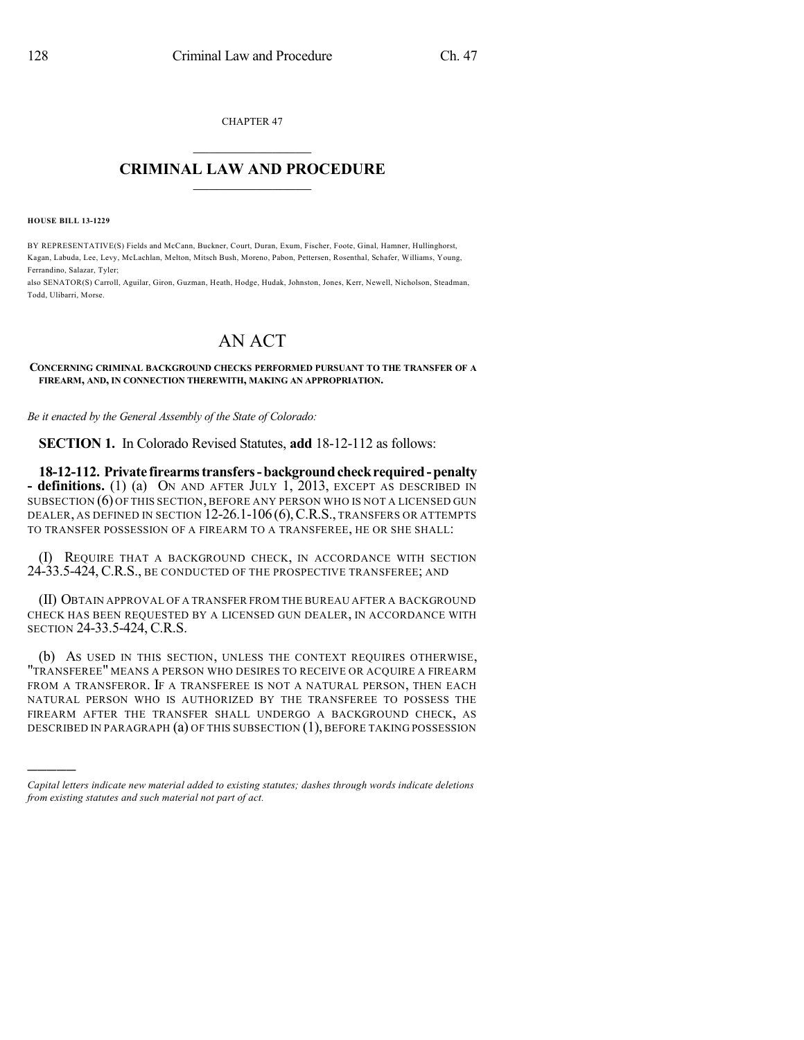CHAPTER 47  $\mathcal{L}_\text{max}$  . The set of the set of the set of the set of the set of the set of the set of the set of the set of the set of the set of the set of the set of the set of the set of the set of the set of the set of the set

#### **CRIMINAL LAW AND PROCEDURE**  $\frac{1}{2}$  ,  $\frac{1}{2}$  ,  $\frac{1}{2}$  ,  $\frac{1}{2}$  ,  $\frac{1}{2}$  ,  $\frac{1}{2}$  ,  $\frac{1}{2}$

**HOUSE BILL 13-1229**

)))))

BY REPRESENTATIVE(S) Fields and McCann, Buckner, Court, Duran, Exum, Fischer, Foote, Ginal, Hamner, Hullinghorst, Kagan, Labuda, Lee, Levy, McLachlan, Melton, Mitsch Bush, Moreno, Pabon, Pettersen, Rosenthal, Schafer, Williams, Young, Ferrandino, Salazar, Tyler;

also SENATOR(S) Carroll, Aguilar, Giron, Guzman, Heath, Hodge, Hudak, Johnston, Jones, Kerr, Newell, Nicholson, Steadman, Todd, Ulibarri, Morse.

# AN ACT

**CONCERNING CRIMINAL BACKGROUND CHECKS PERFORMED PURSUANT TO THE TRANSFER OF A FIREARM, AND, IN CONNECTION THEREWITH, MAKING AN APPROPRIATION.**

*Be it enacted by the General Assembly of the State of Colorado:*

**SECTION 1.** In Colorado Revised Statutes, **add** 18-12-112 as follows:

**18-12-112. Private firearmstransfers-backgroundcheckrequired-penalty - definitions.** (1) (a) ON AND AFTER JULY 1, 2013, EXCEPT AS DESCRIBED IN SUBSECTION (6) OF THIS SECTION, BEFORE ANY PERSON WHO IS NOT A LICENSED GUN DEALER, AS DEFINED IN SECTION 12-26.1-106 (6),C.R.S., TRANSFERS OR ATTEMPTS TO TRANSFER POSSESSION OF A FIREARM TO A TRANSFEREE, HE OR SHE SHALL:

(I) REQUIRE THAT A BACKGROUND CHECK, IN ACCORDANCE WITH SECTION 24-33.5-424, C.R.S., BE CONDUCTED OF THE PROSPECTIVE TRANSFEREE; AND

(II) OBTAIN APPROVAL OF A TRANSFER FROM THE BUREAU AFTER A BACKGROUND CHECK HAS BEEN REQUESTED BY A LICENSED GUN DEALER, IN ACCORDANCE WITH SECTION 24-33.5-424, C.R.S.

(b) AS USED IN THIS SECTION, UNLESS THE CONTEXT REQUIRES OTHERWISE, "TRANSFEREE" MEANS A PERSON WHO DESIRES TO RECEIVE OR ACQUIRE A FIREARM FROM A TRANSFEROR. IF A TRANSFEREE IS NOT A NATURAL PERSON, THEN EACH NATURAL PERSON WHO IS AUTHORIZED BY THE TRANSFEREE TO POSSESS THE FIREARM AFTER THE TRANSFER SHALL UNDERGO A BACKGROUND CHECK, AS DESCRIBED IN PARAGRAPH (a) OF THIS SUBSECTION (1), BEFORE TAKING POSSESSION

*Capital letters indicate new material added to existing statutes; dashes through words indicate deletions from existing statutes and such material not part of act.*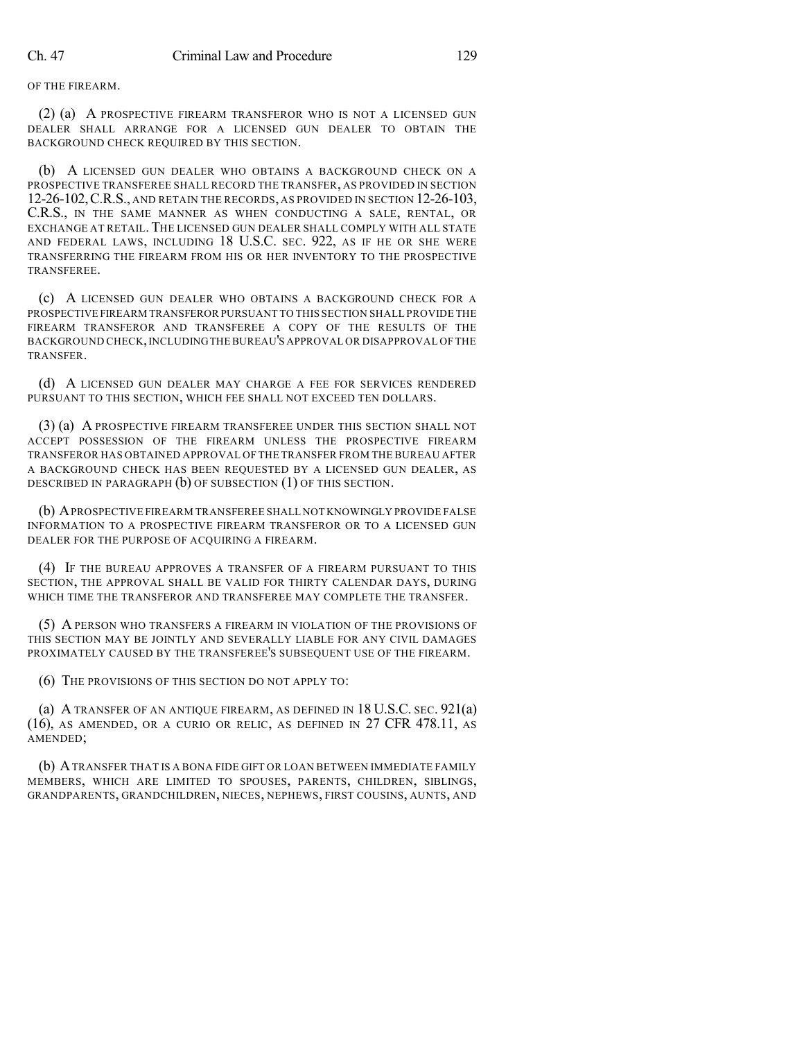OF THE FIREARM.

(2) (a) A PROSPECTIVE FIREARM TRANSFEROR WHO IS NOT A LICENSED GUN DEALER SHALL ARRANGE FOR A LICENSED GUN DEALER TO OBTAIN THE BACKGROUND CHECK REQUIRED BY THIS SECTION.

(b) A LICENSED GUN DEALER WHO OBTAINS A BACKGROUND CHECK ON A PROSPECTIVE TRANSFEREE SHALL RECORD THE TRANSFER, AS PROVIDED IN SECTION 12-26-102,C.R.S., AND RETAIN THE RECORDS, AS PROVIDED IN SECTION 12-26-103, C.R.S., IN THE SAME MANNER AS WHEN CONDUCTING A SALE, RENTAL, OR EXCHANGE AT RETAIL.THE LICENSED GUN DEALER SHALL COMPLY WITH ALL STATE AND FEDERAL LAWS, INCLUDING 18 U.S.C. SEC. 922, AS IF HE OR SHE WERE TRANSFERRING THE FIREARM FROM HIS OR HER INVENTORY TO THE PROSPECTIVE TRANSFEREE.

(c) A LICENSED GUN DEALER WHO OBTAINS A BACKGROUND CHECK FOR A PROSPECTIVE FIREARM TRANSFEROR PURSUANT TO THIS SECTION SHALL PROVIDE THE FIREARM TRANSFEROR AND TRANSFEREE A COPY OF THE RESULTS OF THE BACKGROUND CHECK,INCLUDINGTHEBUREAU'S APPROVAL OR DISAPPROVAL OF THE TRANSFER.

(d) A LICENSED GUN DEALER MAY CHARGE A FEE FOR SERVICES RENDERED PURSUANT TO THIS SECTION, WHICH FEE SHALL NOT EXCEED TEN DOLLARS.

(3) (a) A PROSPECTIVE FIREARM TRANSFEREE UNDER THIS SECTION SHALL NOT ACCEPT POSSESSION OF THE FIREARM UNLESS THE PROSPECTIVE FIREARM TRANSFEROR HAS OBTAINED APPROVAL OF THE TRANSFER FROM THE BUREAU AFTER A BACKGROUND CHECK HAS BEEN REQUESTED BY A LICENSED GUN DEALER, AS DESCRIBED IN PARAGRAPH (b) OF SUBSECTION (1) OF THIS SECTION.

(b) APROSPECTIVE FIREARM TRANSFEREE SHALL NOT KNOWINGLY PROVIDE FALSE INFORMATION TO A PROSPECTIVE FIREARM TRANSFEROR OR TO A LICENSED GUN DEALER FOR THE PURPOSE OF ACQUIRING A FIREARM.

(4) IF THE BUREAU APPROVES A TRANSFER OF A FIREARM PURSUANT TO THIS SECTION, THE APPROVAL SHALL BE VALID FOR THIRTY CALENDAR DAYS, DURING WHICH TIME THE TRANSFEROR AND TRANSFEREE MAY COMPLETE THE TRANSFER.

(5) A PERSON WHO TRANSFERS A FIREARM IN VIOLATION OF THE PROVISIONS OF THIS SECTION MAY BE JOINTLY AND SEVERALLY LIABLE FOR ANY CIVIL DAMAGES PROXIMATELY CAUSED BY THE TRANSFEREE'S SUBSEQUENT USE OF THE FIREARM.

(6) THE PROVISIONS OF THIS SECTION DO NOT APPLY TO:

(a) A TRANSFER OF AN ANTIQUE FIREARM, AS DEFINED IN 18 U.S.C. SEC. 921(a) (16), AS AMENDED, OR A CURIO OR RELIC, AS DEFINED IN 27 CFR 478.11, AS AMENDED;

(b) ATRANSFER THAT IS A BONA FIDE GIFT OR LOAN BETWEEN IMMEDIATE FAMILY MEMBERS, WHICH ARE LIMITED TO SPOUSES, PARENTS, CHILDREN, SIBLINGS, GRANDPARENTS, GRANDCHILDREN, NIECES, NEPHEWS, FIRST COUSINS, AUNTS, AND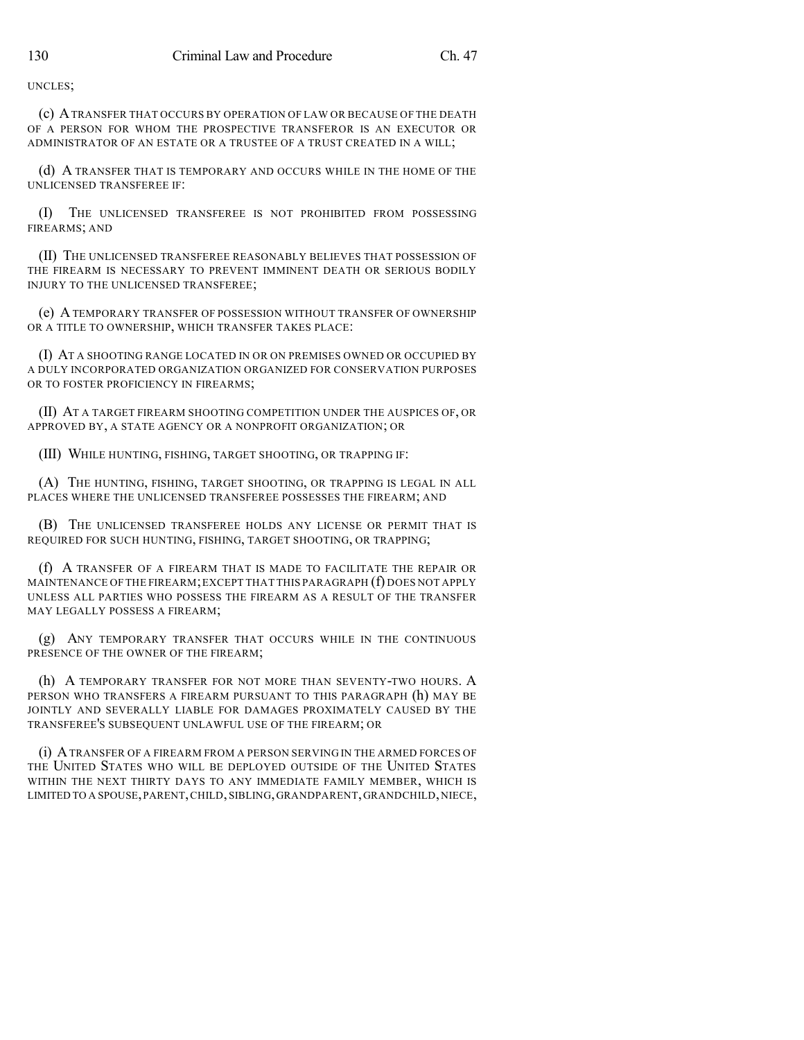UNCLES;

(c) ATRANSFER THAT OCCURS BY OPERATION OF LAW OR BECAUSE OF THE DEATH OF A PERSON FOR WHOM THE PROSPECTIVE TRANSFEROR IS AN EXECUTOR OR ADMINISTRATOR OF AN ESTATE OR A TRUSTEE OF A TRUST CREATED IN A WILL;

(d) A TRANSFER THAT IS TEMPORARY AND OCCURS WHILE IN THE HOME OF THE UNLICENSED TRANSFEREE IF:

(I) THE UNLICENSED TRANSFEREE IS NOT PROHIBITED FROM POSSESSING FIREARMS; AND

(II) THE UNLICENSED TRANSFEREE REASONABLY BELIEVES THAT POSSESSION OF THE FIREARM IS NECESSARY TO PREVENT IMMINENT DEATH OR SERIOUS BODILY INJURY TO THE UNLICENSED TRANSFEREE;

(e) ATEMPORARY TRANSFER OF POSSESSION WITHOUT TRANSFER OF OWNERSHIP OR A TITLE TO OWNERSHIP, WHICH TRANSFER TAKES PLACE:

(I) AT A SHOOTING RANGE LOCATED IN OR ON PREMISES OWNED OR OCCUPIED BY A DULY INCORPORATED ORGANIZATION ORGANIZED FOR CONSERVATION PURPOSES OR TO FOSTER PROFICIENCY IN FIREARMS;

(II) AT A TARGET FIREARM SHOOTING COMPETITION UNDER THE AUSPICES OF, OR APPROVED BY, A STATE AGENCY OR A NONPROFIT ORGANIZATION; OR

(III) WHILE HUNTING, FISHING, TARGET SHOOTING, OR TRAPPING IF:

(A) THE HUNTING, FISHING, TARGET SHOOTING, OR TRAPPING IS LEGAL IN ALL PLACES WHERE THE UNLICENSED TRANSFEREE POSSESSES THE FIREARM; AND

(B) THE UNLICENSED TRANSFEREE HOLDS ANY LICENSE OR PERMIT THAT IS REQUIRED FOR SUCH HUNTING, FISHING, TARGET SHOOTING, OR TRAPPING;

(f) A TRANSFER OF A FIREARM THAT IS MADE TO FACILITATE THE REPAIR OR MAINTENANCE OF THE FIREARM;EXCEPT THAT THIS PARAGRAPH (f) DOES NOT APPLY UNLESS ALL PARTIES WHO POSSESS THE FIREARM AS A RESULT OF THE TRANSFER MAY LEGALLY POSSESS A FIREARM;

(g) ANY TEMPORARY TRANSFER THAT OCCURS WHILE IN THE CONTINUOUS PRESENCE OF THE OWNER OF THE FIREARM;

(h) A TEMPORARY TRANSFER FOR NOT MORE THAN SEVENTY-TWO HOURS. A PERSON WHO TRANSFERS A FIREARM PURSUANT TO THIS PARAGRAPH (h) MAY BE JOINTLY AND SEVERALLY LIABLE FOR DAMAGES PROXIMATELY CAUSED BY THE TRANSFEREE'S SUBSEQUENT UNLAWFUL USE OF THE FIREARM; OR

(i) ATRANSFER OF A FIREARM FROM A PERSON SERVING IN THE ARMED FORCES OF THE UNITED STATES WHO WILL BE DEPLOYED OUTSIDE OF THE UNITED STATES WITHIN THE NEXT THIRTY DAYS TO ANY IMMEDIATE FAMILY MEMBER, WHICH IS LIMITED TO A SPOUSE,PARENT,CHILD,SIBLING,GRANDPARENT,GRANDCHILD,NIECE,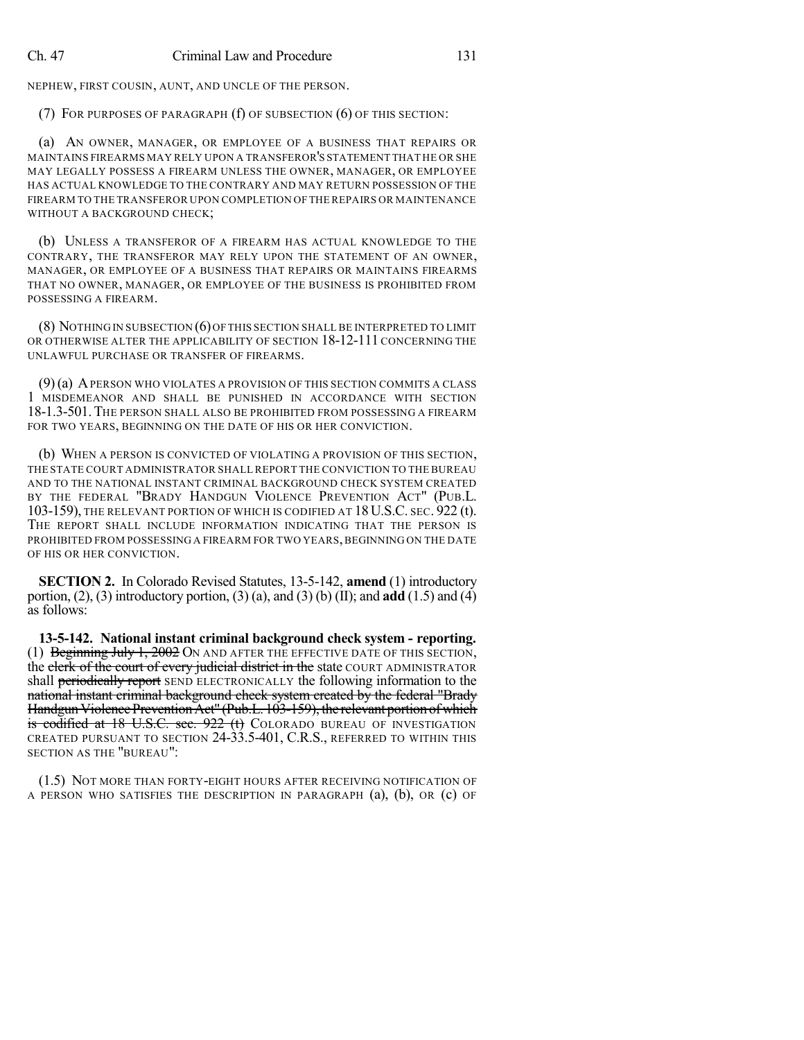NEPHEW, FIRST COUSIN, AUNT, AND UNCLE OF THE PERSON.

(7) FOR PURPOSES OF PARAGRAPH (f) OF SUBSECTION (6) OF THIS SECTION:

(a) AN OWNER, MANAGER, OR EMPLOYEE OF A BUSINESS THAT REPAIRS OR MAINTAINS FIREARMS MAY RELY UPON A TRANSFEROR'S STATEMENT THAT HE OR SHE MAY LEGALLY POSSESS A FIREARM UNLESS THE OWNER, MANAGER, OR EMPLOYEE HAS ACTUAL KNOWLEDGE TO THE CONTRARY AND MAY RETURN POSSESSION OF THE FIREARM TO THE TRANSFEROR UPON COMPLETION OF THE REPAIRS OR MAINTENANCE WITHOUT A BACKGROUND CHECK;

(b) UNLESS A TRANSFEROR OF A FIREARM HAS ACTUAL KNOWLEDGE TO THE CONTRARY, THE TRANSFEROR MAY RELY UPON THE STATEMENT OF AN OWNER, MANAGER, OR EMPLOYEE OF A BUSINESS THAT REPAIRS OR MAINTAINS FIREARMS THAT NO OWNER, MANAGER, OR EMPLOYEE OF THE BUSINESS IS PROHIBITED FROM POSSESSING A FIREARM.

(8) NOTHING IN SUBSECTION (6)OF THIS SECTION SHALL BE INTERPRETED TO LIMIT OR OTHERWISE ALTER THE APPLICABILITY OF SECTION 18-12-111 CONCERNING THE UNLAWFUL PURCHASE OR TRANSFER OF FIREARMS.

(9)(a) APERSON WHO VIOLATES A PROVISION OF THIS SECTION COMMITS A CLASS 1 MISDEMEANOR AND SHALL BE PUNISHED IN ACCORDANCE WITH SECTION 18-1.3-501. THE PERSON SHALL ALSO BE PROHIBITED FROM POSSESSING A FIREARM FOR TWO YEARS, BEGINNING ON THE DATE OF HIS OR HER CONVICTION.

(b) WHEN A PERSON IS CONVICTED OF VIOLATING A PROVISION OF THIS SECTION, THE STATE COURT ADMINISTRATOR SHALL REPORT THE CONVICTION TO THE BUREAU AND TO THE NATIONAL INSTANT CRIMINAL BACKGROUND CHECK SYSTEM CREATED BY THE FEDERAL "BRADY HANDGUN VIOLENCE PREVENTION ACT" (PUB.L. 103-159), THE RELEVANT PORTION OF WHICH IS CODIFIED AT 18U.S.C. SEC. 922 (t). THE REPORT SHALL INCLUDE INFORMATION INDICATING THAT THE PERSON IS PROHIBITED FROM POSSESSING A FIREARM FOR TWO YEARS, BEGINNING ON THE DATE OF HIS OR HER CONVICTION.

**SECTION 2.** In Colorado Revised Statutes, 13-5-142, **amend** (1) introductory portion, (2), (3) introductory portion, (3) (a), and (3) (b) (II); and **add** (1.5) and (4) as follows:

**13-5-142. National instant criminal background check system - reporting.** (1) Beginning July 1, 2002 ON AND AFTER THE EFFECTIVE DATE OF THIS SECTION, the clerk of the court of every judicial district in the state COURT ADMINISTRATOR shall periodically report SEND ELECTRONICALLY the following information to the national instant criminal background check system created by the federal "Brady Handgun Violence Prevention Act" (Pub.L. 103-159), the relevant portion of which is codified at 18 U.S.C. sec. 922 (t) COLORADO BUREAU OF INVESTIGATION CREATED PURSUANT TO SECTION 24-33.5-401, C.R.S., REFERRED TO WITHIN THIS SECTION AS THE "BUREAU":

(1.5) NOT MORE THAN FORTY-EIGHT HOURS AFTER RECEIVING NOTIFICATION OF A PERSON WHO SATISFIES THE DESCRIPTION IN PARAGRAPH (a), (b), OR (c) OF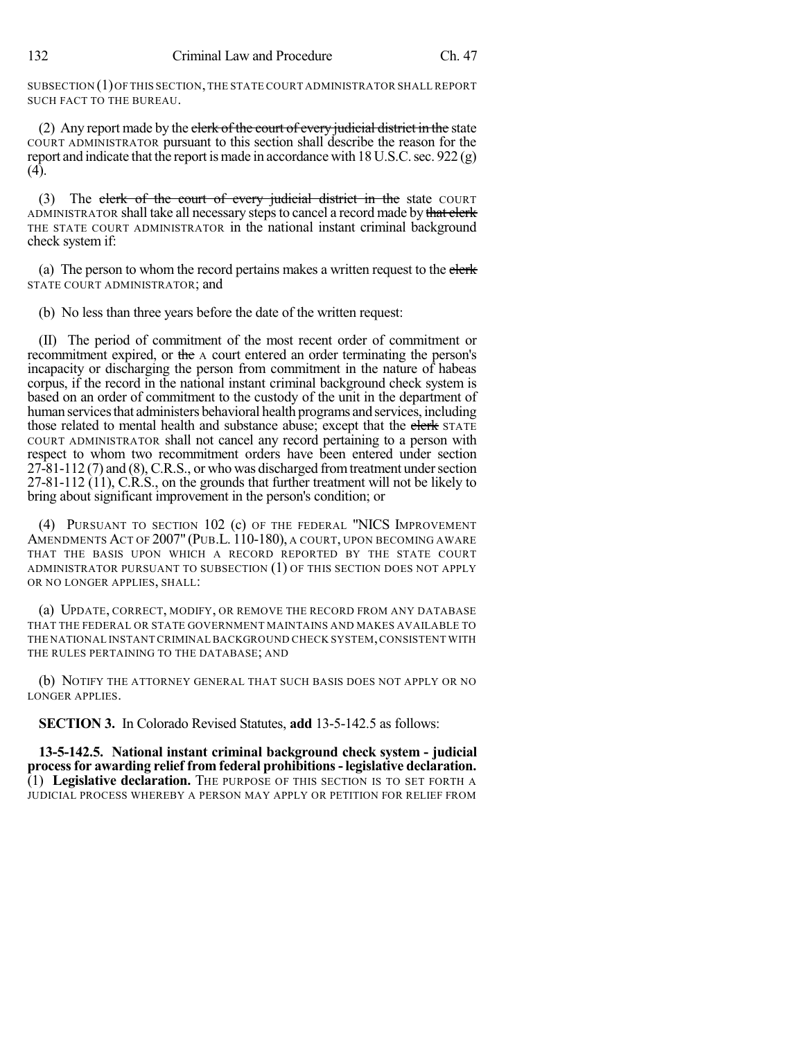SUBSECTION (1)OF THIS SECTION,THE STATE COURT ADMINISTRATOR SHALL REPORT SUCH FACT TO THE BUREAU.

(2) Any report made by the elerk of the court of every judicial district in the state COURT ADMINISTRATOR pursuant to this section shall describe the reason for the report and indicate that the report is made in accordance with 18U.S.C.sec. 922 (g) (4).

(3) The clerk of the court of every judicial district in the state COURT ADMINISTRATOR shall take all necessary steps to cancel a record made by that clerk THE STATE COURT ADMINISTRATOR in the national instant criminal background check system if:

(a) The person to whom the record pertains makes a written request to the elerk-STATE COURT ADMINISTRATOR; and

(b) No less than three years before the date of the written request:

(II) The period of commitment of the most recent order of commitment or recommitment expired, or the A court entered an order terminating the person's incapacity or discharging the person from commitment in the nature of habeas corpus, if the record in the national instant criminal background check system is based on an order of commitment to the custody of the unit in the department of human services that administers behavioral health programs and services, including those related to mental health and substance abuse; except that the elerk STATE COURT ADMINISTRATOR shall not cancel any record pertaining to a person with respect to whom two recommitment orders have been entered under section  $27-81-112$  (7) and (8), C.R.S., or who was discharged from treatment under section 27-81-112 (11), C.R.S., on the grounds that further treatment will not be likely to bring about significant improvement in the person's condition; or

(4) PURSUANT TO SECTION 102 (c) OF THE FEDERAL "NICS IMPROVEMENT AMENDMENTS ACT OF 2007" (PUB.L. 110-180), A COURT, UPON BECOMING AWARE THAT THE BASIS UPON WHICH A RECORD REPORTED BY THE STATE COURT ADMINISTRATOR PURSUANT TO SUBSECTION (1) OF THIS SECTION DOES NOT APPLY OR NO LONGER APPLIES, SHALL:

(a) UPDATE, CORRECT, MODIFY, OR REMOVE THE RECORD FROM ANY DATABASE THAT THE FEDERAL OR STATE GOVERNMENT MAINTAINS AND MAKES AVAILABLE TO THE NATIONAL INSTANT CRIMINAL BACKGROUND CHECK SYSTEM,CONSISTENT WITH THE RULES PERTAINING TO THE DATABASE; AND

(b) NOTIFY THE ATTORNEY GENERAL THAT SUCH BASIS DOES NOT APPLY OR NO LONGER APPLIES.

**SECTION 3.** In Colorado Revised Statutes, **add** 13-5-142.5 as follows:

**13-5-142.5. National instant criminal background check system - judicial processfor awarding relief from federal prohibitions-legislative declaration.** (1) **Legislative declaration.** THE PURPOSE OF THIS SECTION IS TO SET FORTH A JUDICIAL PROCESS WHEREBY A PERSON MAY APPLY OR PETITION FOR RELIEF FROM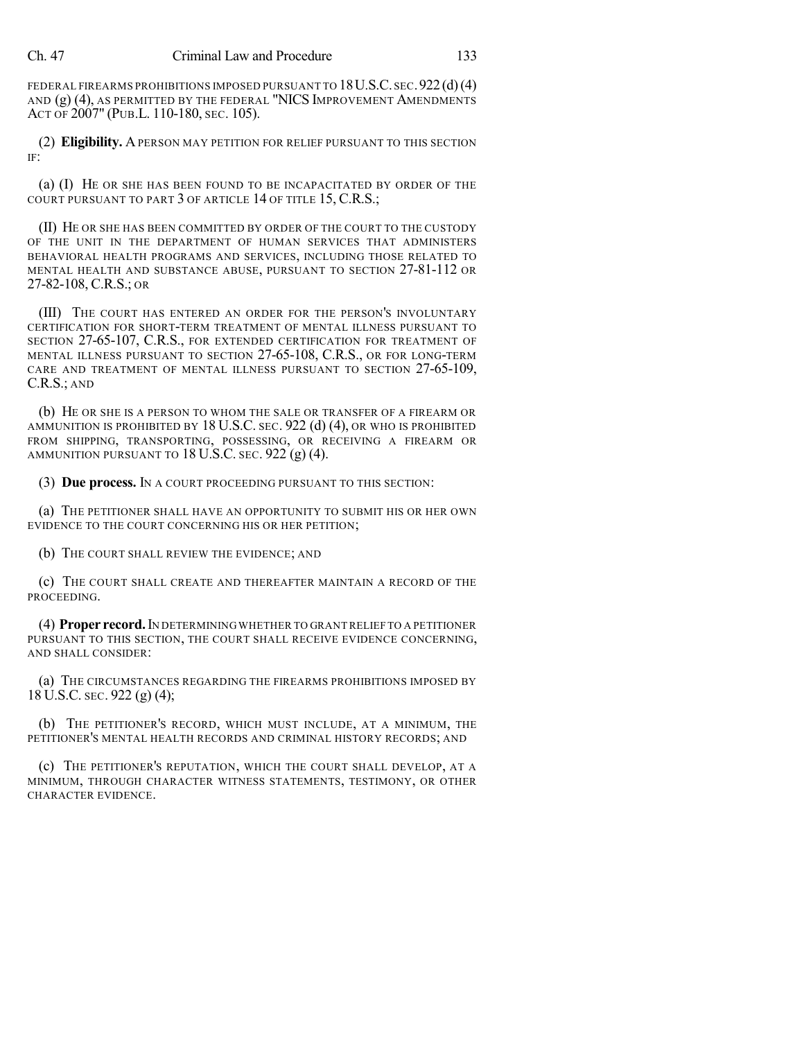FEDERAL FIREARMS PROHIBITIONS IMPOSED PURSUANT TO 18 U.S.C. SEC. 922 (d)(4) AND (g) (4), AS PERMITTED BY THE FEDERAL "NICS IMPROVEMENT AMENDMENTS ACT OF 2007" (PUB.L. 110-180, SEC. 105).

(2) **Eligibility.** APERSON MAY PETITION FOR RELIEF PURSUANT TO THIS SECTION IF:

(a) (I) HE OR SHE HAS BEEN FOUND TO BE INCAPACITATED BY ORDER OF THE COURT PURSUANT TO PART 3 OF ARTICLE 14 OF TITLE 15, C.R.S.;

(II) HE OR SHE HAS BEEN COMMITTED BY ORDER OF THE COURT TO THE CUSTODY OF THE UNIT IN THE DEPARTMENT OF HUMAN SERVICES THAT ADMINISTERS BEHAVIORAL HEALTH PROGRAMS AND SERVICES, INCLUDING THOSE RELATED TO MENTAL HEALTH AND SUBSTANCE ABUSE, PURSUANT TO SECTION 27-81-112 OR 27-82-108, C.R.S.; OR

(III) THE COURT HAS ENTERED AN ORDER FOR THE PERSON'S INVOLUNTARY CERTIFICATION FOR SHORT-TERM TREATMENT OF MENTAL ILLNESS PURSUANT TO SECTION 27-65-107, C.R.S., FOR EXTENDED CERTIFICATION FOR TREATMENT OF MENTAL ILLNESS PURSUANT TO SECTION 27-65-108, C.R.S., OR FOR LONG-TERM CARE AND TREATMENT OF MENTAL ILLNESS PURSUANT TO SECTION 27-65-109, C.R.S.; AND

(b) HE OR SHE IS A PERSON TO WHOM THE SALE OR TRANSFER OF A FIREARM OR AMMUNITION IS PROHIBITED BY 18 U.S.C. SEC. 922 (d)  $(4)$ , OR WHO IS PROHIBITED FROM SHIPPING, TRANSPORTING, POSSESSING, OR RECEIVING A FIREARM OR AMMUNITION PURSUANT TO 18 U.S.C. SEC. 922 (g) (4).

(3) **Due process.** IN A COURT PROCEEDING PURSUANT TO THIS SECTION:

(a) THE PETITIONER SHALL HAVE AN OPPORTUNITY TO SUBMIT HIS OR HER OWN EVIDENCE TO THE COURT CONCERNING HIS OR HER PETITION;

(b) THE COURT SHALL REVIEW THE EVIDENCE; AND

(c) THE COURT SHALL CREATE AND THEREAFTER MAINTAIN A RECORD OF THE PROCEEDING.

(4) **Proper record.**IN DETERMINING WHETHER TO GRANTRELIEF TO A PETITIONER PURSUANT TO THIS SECTION, THE COURT SHALL RECEIVE EVIDENCE CONCERNING, AND SHALL CONSIDER:

(a) THE CIRCUMSTANCES REGARDING THE FIREARMS PROHIBITIONS IMPOSED BY 18 U.S.C. SEC. 922 (g) (4);

(b) THE PETITIONER'S RECORD, WHICH MUST INCLUDE, AT A MINIMUM, THE PETITIONER'S MENTAL HEALTH RECORDS AND CRIMINAL HISTORY RECORDS; AND

(c) THE PETITIONER'S REPUTATION, WHICH THE COURT SHALL DEVELOP, AT A MINIMUM, THROUGH CHARACTER WITNESS STATEMENTS, TESTIMONY, OR OTHER CHARACTER EVIDENCE.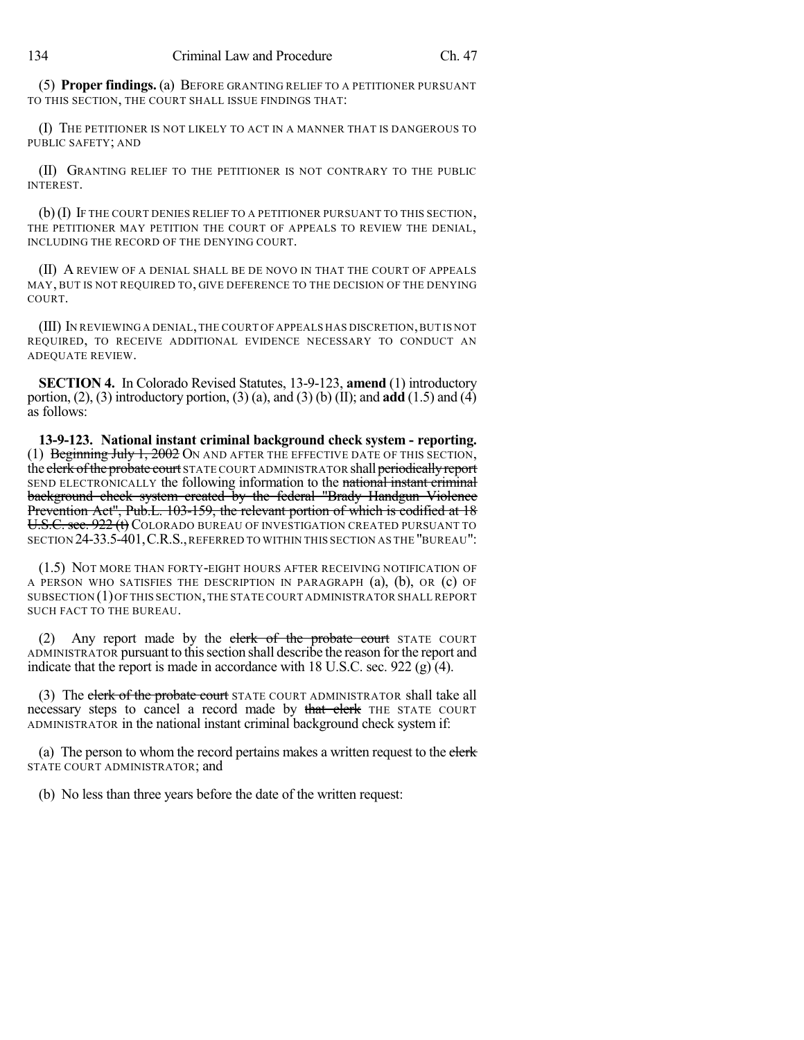(5) **Proper findings.** (a) BEFORE GRANTING RELIEF TO A PETITIONER PURSUANT TO THIS SECTION, THE COURT SHALL ISSUE FINDINGS THAT:

(I) THE PETITIONER IS NOT LIKELY TO ACT IN A MANNER THAT IS DANGEROUS TO PUBLIC SAFETY; AND

(II) GRANTING RELIEF TO THE PETITIONER IS NOT CONTRARY TO THE PUBLIC INTEREST.

(b)(I) IF THE COURT DENIES RELIEF TO A PETITIONER PURSUANT TO THIS SECTION, THE PETITIONER MAY PETITION THE COURT OF APPEALS TO REVIEW THE DENIAL, INCLUDING THE RECORD OF THE DENYING COURT.

(II) A REVIEW OF A DENIAL SHALL BE DE NOVO IN THAT THE COURT OF APPEALS MAY, BUT IS NOT REQUIRED TO, GIVE DEFERENCE TO THE DECISION OF THE DENYING COURT.

(III) IN REVIEWING A DENIAL,THE COURT OF APPEALS HAS DISCRETION,BUT IS NOT REQUIRED, TO RECEIVE ADDITIONAL EVIDENCE NECESSARY TO CONDUCT AN ADEQUATE REVIEW.

**SECTION 4.** In Colorado Revised Statutes, 13-9-123, **amend** (1) introductory portion, (2), (3) introductory portion, (3) (a), and (3) (b) (II); and **add** (1.5) and (4) as follows:

**13-9-123. National instant criminal background check system - reporting.** (1) Beginning July 1, 2002 ON AND AFTER THE EFFECTIVE DATE OF THIS SECTION. the clerk of the probate court STATE COURT ADMINISTRATOR shall periodically report SEND ELECTRONICALLY the following information to the national instant criminal background check system created by the federal "Brady Handgun Violence Prevention Act", Pub.L. 103-159, the relevant portion of which is codified at 18 U.S.C. sec. 922 (t) COLORADO BUREAU OF INVESTIGATION CREATED PURSUANT TO SECTION 24-33.5-401,C.R.S.,REFERRED TO WITHIN THIS SECTION AS THE "BUREAU":

(1.5) NOT MORE THAN FORTY-EIGHT HOURS AFTER RECEIVING NOTIFICATION OF A PERSON WHO SATISFIES THE DESCRIPTION IN PARAGRAPH (a), (b), OR (c) OF SUBSECTION (1)OF THIS SECTION,THE STATE COURT ADMINISTRATOR SHALL REPORT SUCH FACT TO THE BUREAU.

(2) Any report made by the clerk of the probate court STATE COURT ADMINISTRATOR pursuant to this section shall describe the reason for the report and indicate that the report is made in accordance with 18 U.S.C. sec. 922 (g)  $(4)$ .

(3) The clerk of the probate court STATE COURT ADMINISTRATOR shall take all necessary steps to cancel a record made by that clerk THE STATE COURT ADMINISTRATOR in the national instant criminal background check system if:

(a) The person to whom the record pertains makes a written request to the elerk STATE COURT ADMINISTRATOR; and

(b) No less than three years before the date of the written request: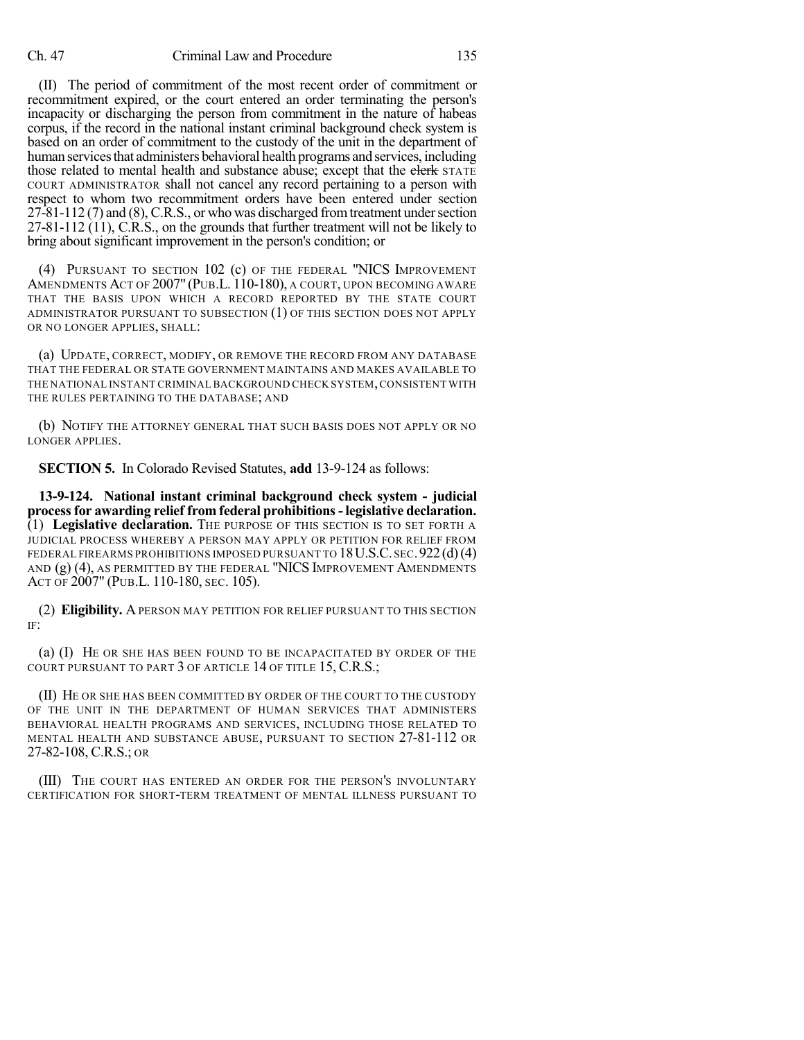(II) The period of commitment of the most recent order of commitment or recommitment expired, or the court entered an order terminating the person's incapacity or discharging the person from commitment in the nature of habeas corpus, if the record in the national instant criminal background check system is based on an order of commitment to the custody of the unit in the department of human services that administers behavioral health programs and services, including those related to mental health and substance abuse; except that the clerk STATE COURT ADMINISTRATOR shall not cancel any record pertaining to a person with respect to whom two recommitment orders have been entered under section  $27-81-112$  (7) and (8), C.R.S., or who was discharged from treatment under section 27-81-112 (11), C.R.S., on the grounds that further treatment will not be likely to bring about significant improvement in the person's condition; or

(4) PURSUANT TO SECTION 102 (c) OF THE FEDERAL "NICS IMPROVEMENT AMENDMENTS ACT OF 2007" (PUB.L. 110-180), A COURT, UPON BECOMING AWARE THAT THE BASIS UPON WHICH A RECORD REPORTED BY THE STATE COURT ADMINISTRATOR PURSUANT TO SUBSECTION (1) OF THIS SECTION DOES NOT APPLY OR NO LONGER APPLIES, SHALL:

(a) UPDATE, CORRECT, MODIFY, OR REMOVE THE RECORD FROM ANY DATABASE THAT THE FEDERAL OR STATE GOVERNMENT MAINTAINS AND MAKES AVAILABLE TO THE NATIONAL INSTANT CRIMINALBACKGROUND CHECK SYSTEM,CONSISTENT WITH THE RULES PERTAINING TO THE DATABASE; AND

(b) NOTIFY THE ATTORNEY GENERAL THAT SUCH BASIS DOES NOT APPLY OR NO LONGER APPLIES.

**SECTION 5.** In Colorado Revised Statutes, **add** 13-9-124 as follows:

**13-9-124. National instant criminal background check system - judicial processfor awarding relief from federal prohibitions-legislative declaration.** (1) **Legislative declaration.** THE PURPOSE OF THIS SECTION IS TO SET FORTH A JUDICIAL PROCESS WHEREBY A PERSON MAY APPLY OR PETITION FOR RELIEF FROM FEDERAL FIREARMS PROHIBITIONS IMPOSED PURSUANT TO  $18$  U.S.C. sec. 922 (d)(4) AND (g) (4), AS PERMITTED BY THE FEDERAL "NICS IMPROVEMENT AMENDMENTS ACT OF 2007" (PUB.L. 110-180, SEC. 105).

(2) **Eligibility.** A PERSON MAY PETITION FOR RELIEF PURSUANT TO THIS SECTION IF:

(a) (I) HE OR SHE HAS BEEN FOUND TO BE INCAPACITATED BY ORDER OF THE COURT PURSUANT TO PART 3 OF ARTICLE 14 OF TITLE 15, C.R.S.;

(II) HE OR SHE HAS BEEN COMMITTED BY ORDER OF THE COURT TO THE CUSTODY OF THE UNIT IN THE DEPARTMENT OF HUMAN SERVICES THAT ADMINISTERS BEHAVIORAL HEALTH PROGRAMS AND SERVICES, INCLUDING THOSE RELATED TO MENTAL HEALTH AND SUBSTANCE ABUSE, PURSUANT TO SECTION 27-81-112 OR 27-82-108, C.R.S.; OR

(III) THE COURT HAS ENTERED AN ORDER FOR THE PERSON'S INVOLUNTARY CERTIFICATION FOR SHORT-TERM TREATMENT OF MENTAL ILLNESS PURSUANT TO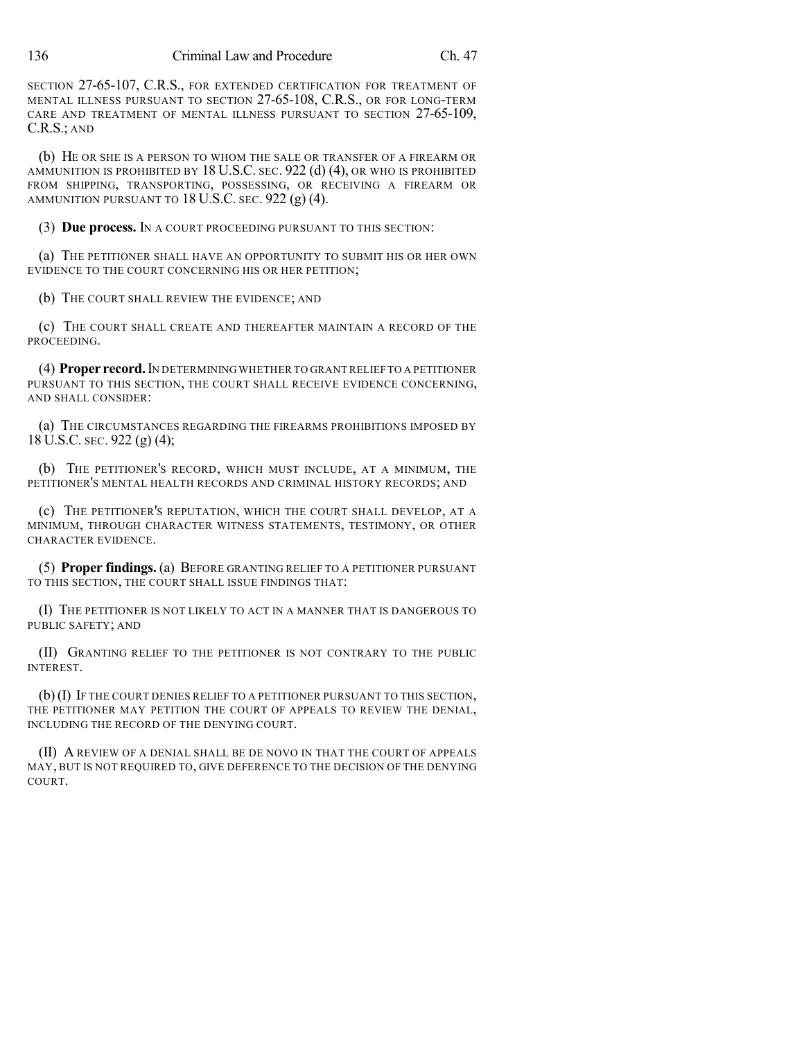SECTION 27-65-107, C.R.S., FOR EXTENDED CERTIFICATION FOR TREATMENT OF MENTAL ILLNESS PURSUANT TO SECTION 27-65-108, C.R.S., OR FOR LONG-TERM CARE AND TREATMENT OF MENTAL ILLNESS PURSUANT TO SECTION 27-65-109, C.R.S.; AND

(b) HE OR SHE IS A PERSON TO WHOM THE SALE OR TRANSFER OF A FIREARM OR AMMUNITION IS PROHIBITED BY 18 U.S.C. SEC. 922 (d) (4), OR WHO IS PROHIBITED FROM SHIPPING, TRANSPORTING, POSSESSING, OR RECEIVING A FIREARM OR AMMUNITION PURSUANT TO 18 U.S.C. SEC. 922 (g) (4).

(3) **Due process.** IN A COURT PROCEEDING PURSUANT TO THIS SECTION:

(a) THE PETITIONER SHALL HAVE AN OPPORTUNITY TO SUBMIT HIS OR HER OWN EVIDENCE TO THE COURT CONCERNING HIS OR HER PETITION;

(b) THE COURT SHALL REVIEW THE EVIDENCE; AND

(c) THE COURT SHALL CREATE AND THEREAFTER MAINTAIN A RECORD OF THE PROCEEDING.

(4) **Proper record.**IN DETERMINING WHETHER TO GRANTRELIEF TO A PETITIONER PURSUANT TO THIS SECTION, THE COURT SHALL RECEIVE EVIDENCE CONCERNING, AND SHALL CONSIDER:

(a) THE CIRCUMSTANCES REGARDING THE FIREARMS PROHIBITIONS IMPOSED BY 18 U.S.C. SEC. 922 (g) (4);

(b) THE PETITIONER'S RECORD, WHICH MUST INCLUDE, AT A MINIMUM, THE PETITIONER'S MENTAL HEALTH RECORDS AND CRIMINAL HISTORY RECORDS; AND

(c) THE PETITIONER'S REPUTATION, WHICH THE COURT SHALL DEVELOP, AT A MINIMUM, THROUGH CHARACTER WITNESS STATEMENTS, TESTIMONY, OR OTHER CHARACTER EVIDENCE.

(5) **Proper findings.** (a) BEFORE GRANTING RELIEF TO A PETITIONER PURSUANT TO THIS SECTION, THE COURT SHALL ISSUE FINDINGS THAT:

(I) THE PETITIONER IS NOT LIKELY TO ACT IN A MANNER THAT IS DANGEROUS TO PUBLIC SAFETY; AND

(II) GRANTING RELIEF TO THE PETITIONER IS NOT CONTRARY TO THE PUBLIC INTEREST.

(b)(I) IF THE COURT DENIES RELIEF TO A PETITIONER PURSUANT TO THIS SECTION, THE PETITIONER MAY PETITION THE COURT OF APPEALS TO REVIEW THE DENIAL, INCLUDING THE RECORD OF THE DENYING COURT.

(II) A REVIEW OF A DENIAL SHALL BE DE NOVO IN THAT THE COURT OF APPEALS MAY, BUT IS NOT REQUIRED TO, GIVE DEFERENCE TO THE DECISION OF THE DENYING COURT.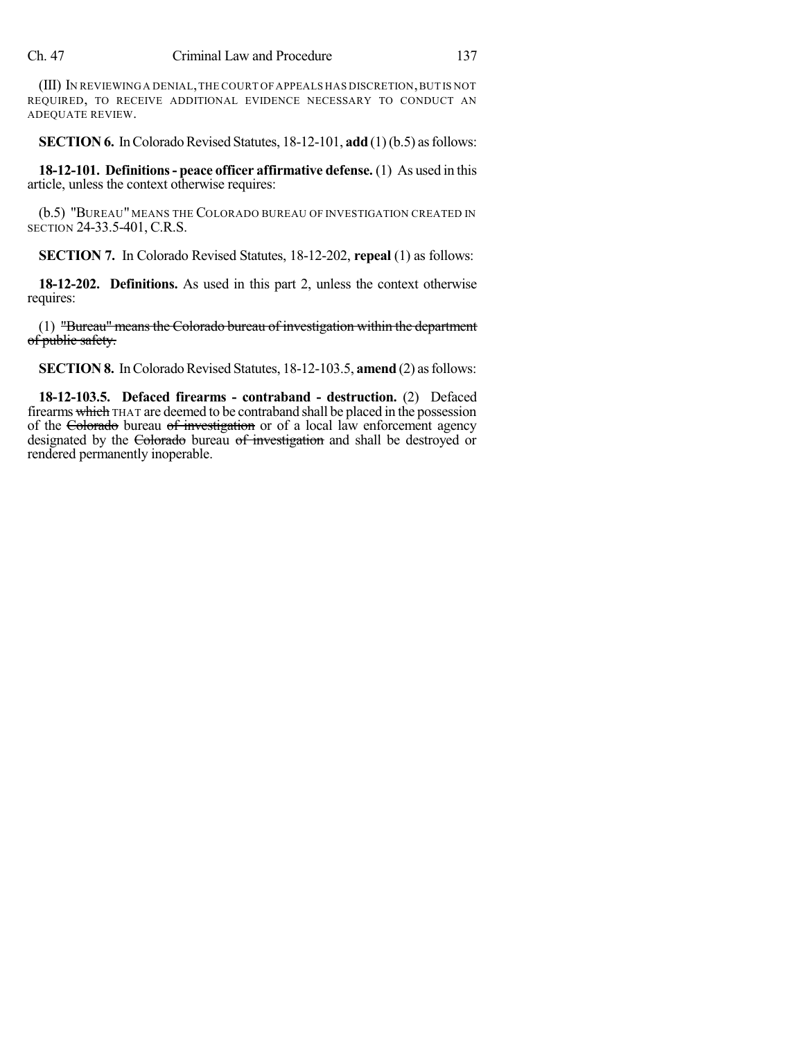(III) IN REVIEWING A DENIAL,THE COURT OF APPEALS HAS DISCRETION,BUT IS NOT REQUIRED, TO RECEIVE ADDITIONAL EVIDENCE NECESSARY TO CONDUCT AN ADEQUATE REVIEW.

**SECTION 6.** In Colorado Revised Statutes, 18-12-101, **add** (1)(b.5) as follows:

**18-12-101. Definitions- peace officer affirmative defense.** (1) As used in this article, unless the context otherwise requires:

(b.5) "BUREAU" MEANS THE COLORADO BUREAU OF INVESTIGATION CREATED IN SECTION 24-33.5-401, C.R.S.

**SECTION 7.** In Colorado Revised Statutes, 18-12-202, **repeal** (1) as follows:

**18-12-202. Definitions.** As used in this part 2, unless the context otherwise requires:

(1) "Bureau" means the Colorado bureau of investigation within the department of public safety.

**SECTION 8.** In Colorado Revised Statutes, 18-12-103.5, **amend** (2) as follows:

**18-12-103.5. Defaced firearms - contraband - destruction.** (2) Defaced firearms which THAT are deemed to be contraband shall be placed in the possession of the Colorado bureau of investigation or of a local law enforcement agency designated by the Colorado bureau of investigation and shall be destroyed or rendered permanently inoperable.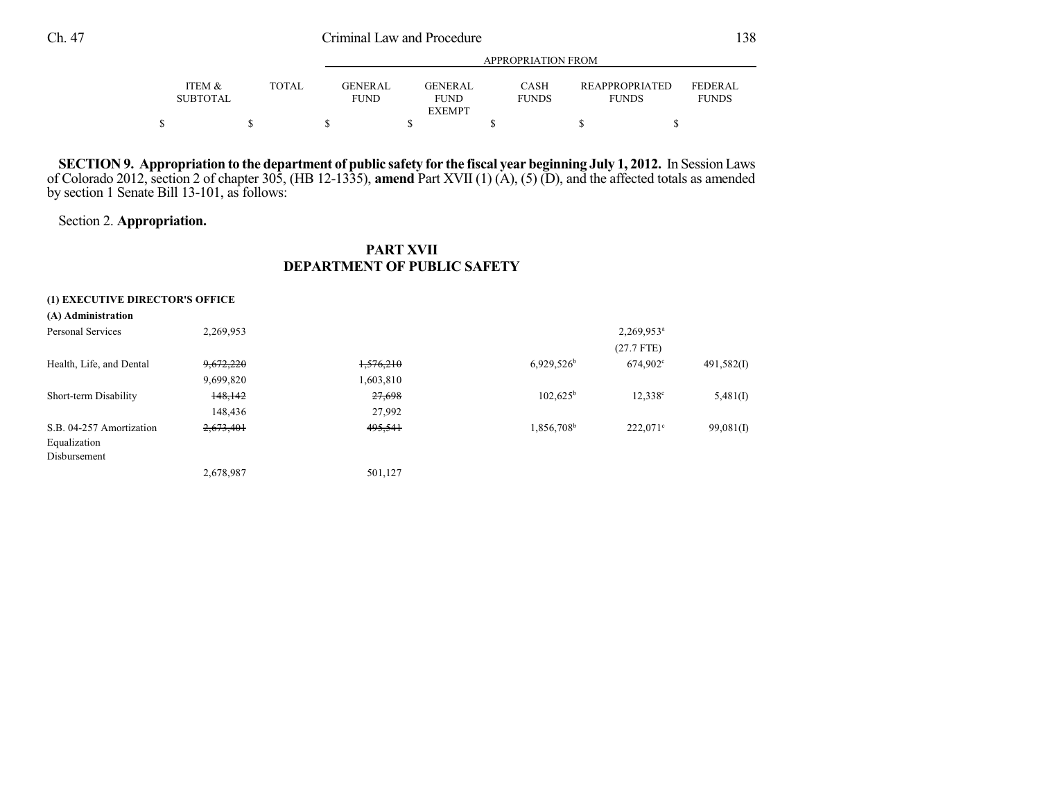# Ch. 47 Criminal Law and Procedure 138

|                           |       |                               | APPROPRIATION FROM                             |                             |                                       |                         |  |  |  |  |
|---------------------------|-------|-------------------------------|------------------------------------------------|-----------------------------|---------------------------------------|-------------------------|--|--|--|--|
| ITEM &<br><b>SUBTOTAL</b> | TOTAL | <b>GENERAL</b><br><b>FUND</b> | <b>GENERAL</b><br><b>FUND</b><br><b>EXEMPT</b> | <b>CASH</b><br><b>FUNDS</b> | <b>REAPPROPRIATED</b><br><b>FUNDS</b> | FEDERAL<br><b>FUNDS</b> |  |  |  |  |
|                           |       |                               |                                                |                             |                                       |                         |  |  |  |  |

SECTION 9. Appropriation to the department of public safety for the fiscal year beginning July 1, 2012. In Session Laws of Colorado 2012, section 2 of chapter 305, (HB 12-1335), **amend** Part XVII (1) (A), (5) (D), and the affected totals as amended by section 1 Senate Bill 13-101, as follows:

## Section 2. **Appropriation.**

### **PART XVII DEPARTMENT OF PUBLIC SAFETY**

| (1) EXECUTIVE DIRECTOR'S OFFICE |           |           |                        |                        |              |
|---------------------------------|-----------|-----------|------------------------|------------------------|--------------|
| (A) Administration              |           |           |                        |                        |              |
| Personal Services               | 2,269,953 |           |                        | 2,269,953 <sup>a</sup> |              |
|                                 |           |           |                        | $(27.7$ FTE)           |              |
| Health, Life, and Dental        | 9,672,220 | 1,576,210 | $6,929,526^b$          | $674.902^{\circ}$      | 491,582(I)   |
|                                 | 9,699,820 | 1,603,810 |                        |                        |              |
| Short-term Disability           | 148,142   | 27,698    | $102,625^{\rm b}$      | $12,338^c$             | 5,481(I)     |
|                                 | 148,436   | 27,992    |                        |                        |              |
| S.B. 04-257 Amortization        | 2,673,401 | 495,541   | 1,856,708 <sup>b</sup> | $222.071^{\circ}$      | $99,081$ (I) |
| Equalization                    |           |           |                        |                        |              |
| Disbursement                    |           |           |                        |                        |              |
|                                 | 2,678,987 | 501,127   |                        |                        |              |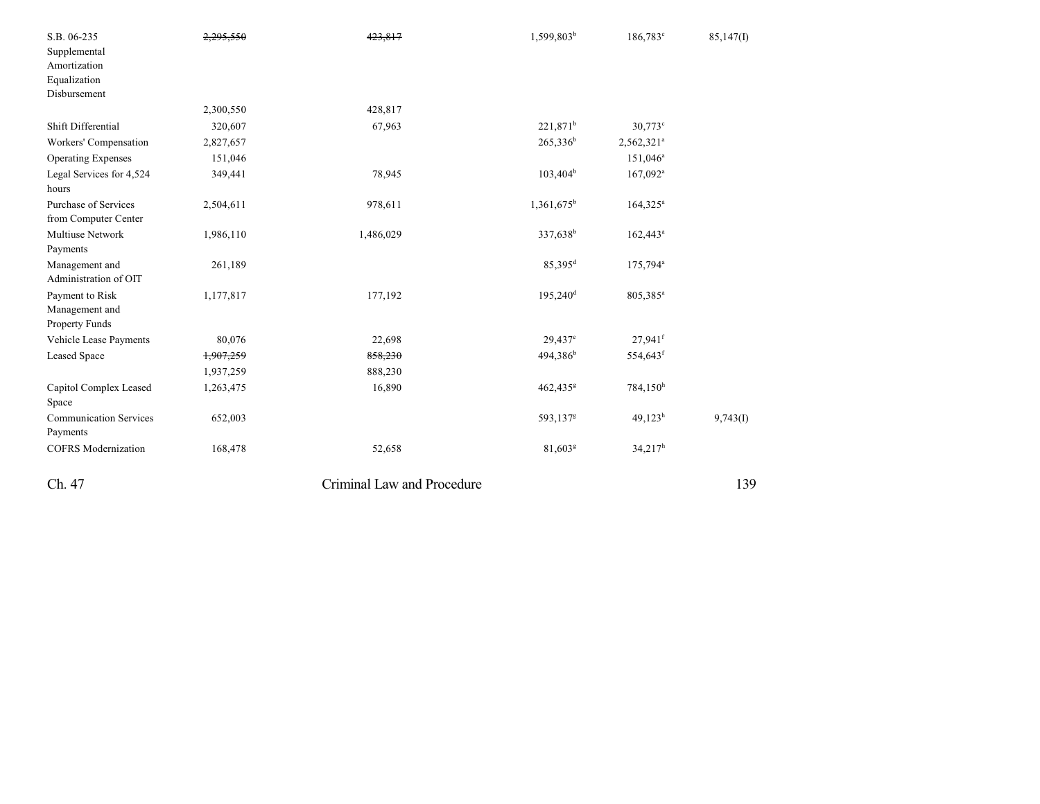| S.B. 06-235                   | 2,295,550 | 423,817                    | 1,599,803 <sup>b</sup> | 186,783 <sup>c</sup>   | 85,147(I) |
|-------------------------------|-----------|----------------------------|------------------------|------------------------|-----------|
| Supplemental                  |           |                            |                        |                        |           |
| Amortization                  |           |                            |                        |                        |           |
| Equalization                  |           |                            |                        |                        |           |
| Disbursement                  |           |                            |                        |                        |           |
|                               | 2,300,550 | 428,817                    |                        |                        |           |
| Shift Differential            | 320,607   | 67,963                     | $221,871^b$            | $30,773$ °             |           |
| Workers' Compensation         | 2,827,657 |                            | $265,336^b$            | 2,562,321 <sup>a</sup> |           |
| <b>Operating Expenses</b>     | 151,046   |                            |                        | $151,046^a$            |           |
| Legal Services for 4,524      | 349,441   | 78,945                     | $103,404^{\rm b}$      | $167,092$ <sup>a</sup> |           |
| hours                         |           |                            |                        |                        |           |
| <b>Purchase of Services</b>   | 2,504,611 | 978,611                    | $1,361,675^{\rm b}$    | $164,325^a$            |           |
| from Computer Center          |           |                            |                        |                        |           |
| <b>Multiuse Network</b>       | 1,986,110 | 1,486,029                  | 337,638 <sup>b</sup>   | $162,443^a$            |           |
| Payments                      |           |                            |                        |                        |           |
| Management and                | 261,189   |                            | $85,395^d$             | 175,794 <sup>a</sup>   |           |
| Administration of OIT         |           |                            |                        |                        |           |
| Payment to Risk               | 1,177,817 | 177,192                    | $195,240$ <sup>d</sup> | 805,385 <sup>a</sup>   |           |
| Management and                |           |                            |                        |                        |           |
| Property Funds                |           |                            |                        |                        |           |
| Vehicle Lease Payments        | 80,076    | 22,698                     | $29,437$ <sup>e</sup>  | $27,941$ <sup>f</sup>  |           |
| <b>Leased Space</b>           | 1,907,259 | 858,230                    | 494,386 <sup>b</sup>   | 554,643 <sup>f</sup>   |           |
|                               | 1,937,259 | 888,230                    |                        |                        |           |
| Capitol Complex Leased        | 1,263,475 | 16,890                     | 462,435 <sup>g</sup>   | 784,150h               |           |
| Space                         |           |                            |                        |                        |           |
| <b>Communication Services</b> | 652,003   |                            | 593,137 <sup>g</sup>   | $49,123^h$             | 9,743(I)  |
| Payments                      |           |                            |                        |                        |           |
| <b>COFRS</b> Modernization    | 168,478   | 52,658                     | 81,603g                | $34,217^h$             |           |
| Ch. 47                        |           | Criminal Law and Procedure |                        |                        | 139       |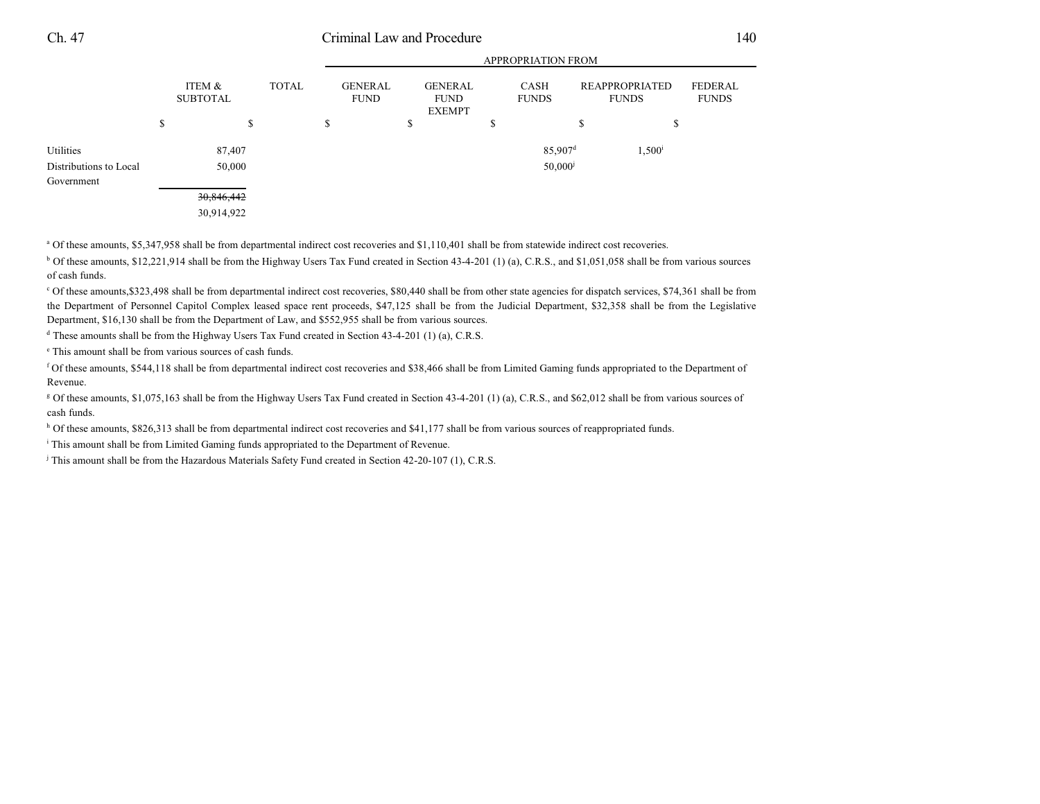## Ch. 47 Criminal Law and Procedure 140

APPROPRIATION FROM

|                        | APPROPRIATION FROM |                           |       |    |                               |    |                                                |        |                             |                                |                 |                         |
|------------------------|--------------------|---------------------------|-------|----|-------------------------------|----|------------------------------------------------|--------|-----------------------------|--------------------------------|-----------------|-------------------------|
|                        |                    | ITEM &<br><b>SUBTOTAL</b> | TOTAL |    | <b>GENERAL</b><br><b>FUND</b> |    | <b>GENERAL</b><br><b>FUND</b><br><b>EXEMPT</b> |        | <b>CASH</b><br><b>FUNDS</b> | REAPPROPRIATED<br><b>FUNDS</b> |                 | FEDERAL<br><b>FUNDS</b> |
|                        | S                  |                           | \$    | \$ |                               | \$ |                                                | Φ<br>D |                             | \$                             | S               |                         |
| Utilities              |                    | 87,407                    |       |    |                               |    |                                                |        | $85,907$ <sup>d</sup>       |                                | $1,500^{\rm i}$ |                         |
| Distributions to Local |                    | 50,000                    |       |    |                               |    |                                                |        | $50,000$ <sup>j</sup>       |                                |                 |                         |
| Government             |                    |                           |       |    |                               |    |                                                |        |                             |                                |                 |                         |
|                        |                    | 30,846,442                |       |    |                               |    |                                                |        |                             |                                |                 |                         |
|                        |                    | 30,914,922                |       |    |                               |    |                                                |        |                             |                                |                 |                         |

<sup>a</sup> Of these amounts, \$5,347,958 shall be from departmental indirect cost recoveries and \$1,110,401 shall be from statewide indirect cost recoveries.

<sup>b</sup> Of these amounts, \$12,221,914 shall be from the Highway Users Tax Fund created in Section 43-4-201 (1) (a), C.R.S., and \$1,051,058 shall be from various sources of cash funds.

<sup>c</sup> Of these amounts,\$323,498 shall be from departmental indirect cost recoveries, \$80,440 shall be from other state agencies for dispatch services, \$74,361 shall be from the Department of Personnel Capitol Complex leased space rent proceeds, \$47,125 shall be from the Judicial Department, \$32,358 shall be from the Legislative Department, \$16,130 shall be from the Department of Law, and \$552,955 shall be from various sources.

 $\textsuperscript{d}$  These amounts shall be from the Highway Users Tax Fund created in Section 43-4-201 (1) (a), C.R.S.

<sup>e</sup> This amount shall be from various sources of cash funds.

 Of these amounts, \$544,118 shall be from departmental indirect cost recoveries and \$38,466 shall be from Limited Gaming funds appropriated to the Department of <sup>f</sup> Revenue.

<sup>g</sup> Of these amounts, \$1,075,163 shall be from the Highway Users Tax Fund created in Section 43-4-201 (1) (a), C.R.S., and \$62,012 shall be from various sources of cash funds.

 $h$  Of these amounts, \$826,313 shall be from departmental indirect cost recoveries and \$41,177 shall be from various sources of reappropriated funds.

<sup>i</sup> This amount shall be from Limited Gaming funds appropriated to the Department of Revenue.

<sup>j</sup> This amount shall be from the Hazardous Materials Safety Fund created in Section 42-20-107 (1), C.R.S.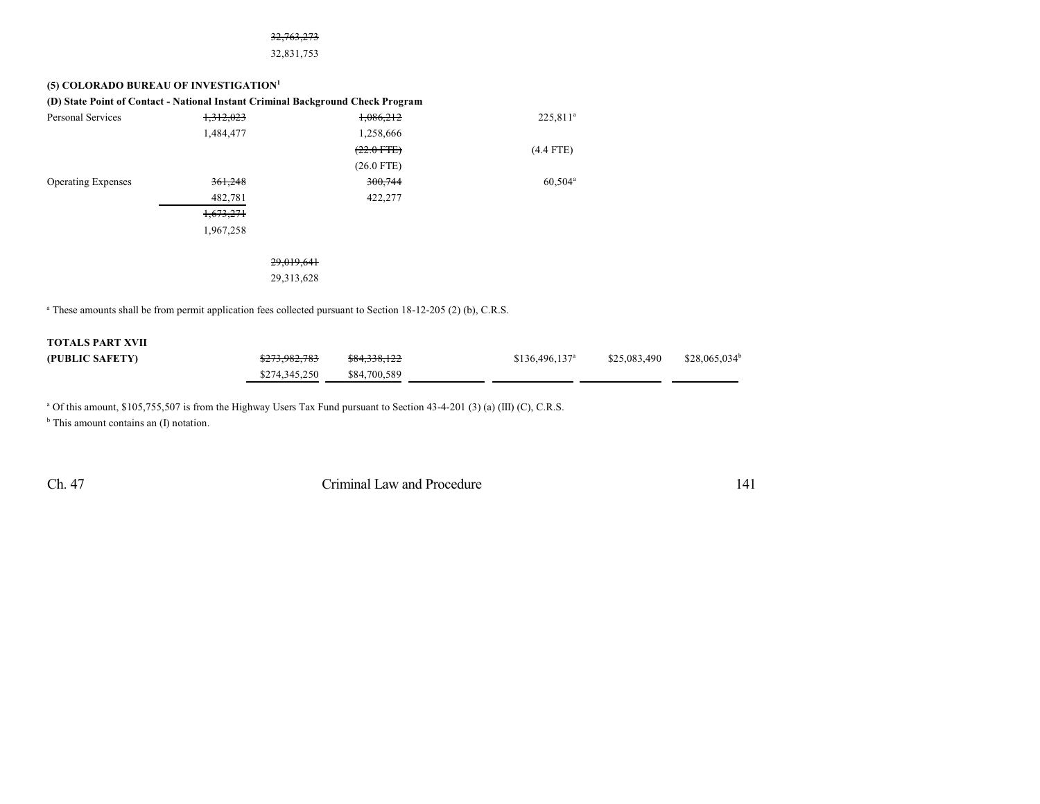#### 32,763,273

32,831,753

#### **(5) COLORADO BUREAU OF INVESTIGATION 1**

|                           |           | (D) State Point of Contact - National Instant Criminal Background Check Program |                      |
|---------------------------|-----------|---------------------------------------------------------------------------------|----------------------|
| Personal Services         | 1,312,023 | 1,086,212                                                                       | 225,811 <sup>a</sup> |
|                           | 1,484,477 | 1,258,666                                                                       |                      |
|                           |           | $(22.0$ FTE)                                                                    | $(4.4$ FTE)          |
|                           |           | $(26.0$ FTE)                                                                    |                      |
| <b>Operating Expenses</b> | 361,248   | 300,744                                                                         | $60,504^{\circ}$     |
|                           | 482,781   | 422,277                                                                         |                      |
|                           | 1,673,271 |                                                                                 |                      |
|                           | 1,967,258 |                                                                                 |                      |
|                           |           |                                                                                 |                      |
|                           |           | 29,019,641                                                                      |                      |
|                           |           | 29, 313, 628                                                                    |                      |

<sup>a</sup> These amounts shall be from permit application fees collected pursuant to Section 18-12-205 (2) (b), C.R.S.

#### **TOTALS PART XVII**

| (PUBLIC SAFETY) | <del>\$273.982.783</del> | \$84,338,122 | $$136,496,137^a$ | \$25,083,490 | $$28.065.034^b$ |
|-----------------|--------------------------|--------------|------------------|--------------|-----------------|
|                 | \$274,345,250            | \$84,700,589 |                  |              |                 |

 $^{\circ}$  Of this amount, \$105,755,507 is from the Highway Users Tax Fund pursuant to Section 43-4-201 (3) (a) (III) (C), C.R.S.

<sup>b</sup> This amount contains an (I) notation.

Ch. 47 Criminal Law and Procedure 141